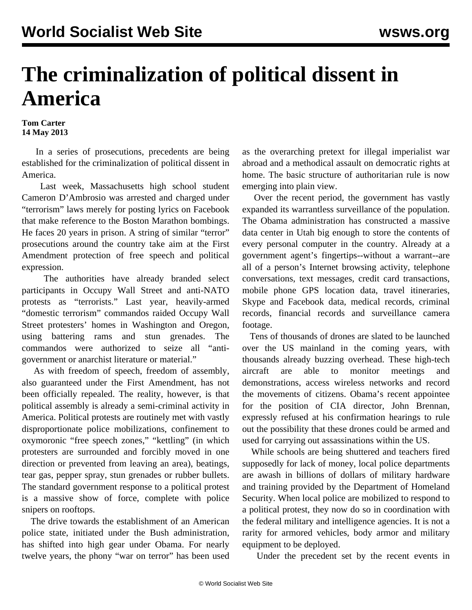## **The criminalization of political dissent in America**

## **Tom Carter 14 May 2013**

 In a series of prosecutions, precedents are being established for the criminalization of political dissent in America.

 Last week, Massachusetts high school student Cameron D'Ambrosio was arrested and charged under "terrorism" laws merely for posting lyrics on Facebook that make reference to the Boston Marathon bombings. He faces 20 years in prison. A string of similar "terror" prosecutions around the country take aim at the First Amendment protection of free speech and political expression.

 The authorities have already branded select participants in Occupy Wall Street and anti-NATO protests as "terrorists." Last year, heavily-armed "domestic terrorism" commandos raided Occupy Wall Street protesters' homes in Washington and Oregon, using battering rams and stun grenades. The commandos were authorized to seize all "antigovernment or anarchist literature or material."

 As with freedom of speech, freedom of assembly, also guaranteed under the First Amendment, has not been officially repealed. The reality, however, is that political assembly is already a semi-criminal activity in America. Political protests are routinely met with vastly disproportionate police mobilizations, confinement to oxymoronic "free speech zones," "kettling" (in which protesters are surrounded and forcibly moved in one direction or prevented from leaving an area), beatings, tear gas, pepper spray, stun grenades or rubber bullets. The standard government response to a political protest is a massive show of force, complete with police snipers on rooftops.

 The drive towards the establishment of an American police state, initiated under the Bush administration, has shifted into high gear under Obama. For nearly twelve years, the phony "war on terror" has been used as the overarching pretext for illegal imperialist war abroad and a methodical assault on democratic rights at home. The basic structure of authoritarian rule is now emerging into plain view.

 Over the recent period, the government has vastly expanded its warrantless surveillance of the population. The Obama administration has constructed a massive data center in Utah big enough to store the contents of every personal computer in the country. Already at a government agent's fingertips--without a warrant--are all of a person's Internet browsing activity, telephone conversations, text messages, credit card transactions, mobile phone GPS location data, travel itineraries, Skype and Facebook data, medical records, criminal records, financial records and surveillance camera footage.

 Tens of thousands of drones are slated to be launched over the US mainland in the coming years, with thousands already buzzing overhead. These high-tech aircraft are able to monitor meetings and demonstrations, access wireless networks and record the movements of citizens. Obama's recent appointee for the position of CIA director, John Brennan, expressly refused at his confirmation hearings to rule out the possibility that these drones could be armed and used for carrying out assassinations within the US.

 While schools are being shuttered and teachers fired supposedly for lack of money, local police departments are awash in billions of dollars of military hardware and training provided by the Department of Homeland Security. When local police are mobilized to respond to a political protest, they now do so in coordination with the federal military and intelligence agencies. It is not a rarity for armored vehicles, body armor and military equipment to be deployed.

Under the precedent set by the recent events in